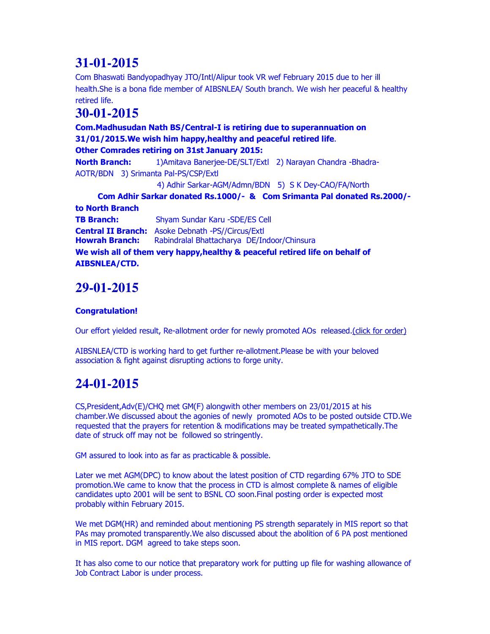# **31-01-2015**

Com Bhaswati Bandyopadhyay JTO/Intl/Alipur took VR wef February 2015 due to her ill health.She is a bona fide member of AIBSNLEA/ South branch. We wish her peaceful & healthy retired life.

#### **30-01-2015**

**Com.Madhusudan Nath BS/Central-I is retiring due to superannuation on 31/01/2015.We wish him happy,healthy and peaceful retired life**. **Other Comrades retiring on 31st January 2015: North Branch:** 1)Amitava Banerjee-DE/SLT/Extl 2) Narayan Chandra -Bhadra-AOTR/BDN 3) Srimanta Pal-PS/CSP/Extl 4) Adhir Sarkar-AGM/Admn/BDN 5) S K Dey-CAO/FA/North **Com Adhir Sarkar donated Rs.1000/- & Com Srimanta Pal donated Rs.2000/ to North Branch TB Branch:** Shyam Sundar Karu -SDE/ES Cell **Central II Branch:** Asoke Debnath -PS//Circus/Extl **Howrah Branch:** Rabindralal Bhattacharya DE/Indoor/Chinsura

**We wish all of them very happy,healthy & peaceful retired life on behalf of AIBSNLEA/CTD.**

### **29-01-2015**

#### **Congratulation!**

Our effort yielded result, Re-allotment order for newly promoted AOs released.(click for order)

AIBSNLEA/CTD is working hard to get further re-allotment.Please be with your beloved association & fight against disrupting actions to forge unity.

## **24-01-2015**

CS,President,Adv(E)/CHQ met GM(F) alongwith other members on 23/01/2015 at his chamber.We discussed about the agonies of newly promoted AOs to be posted outside CTD.We requested that the prayers for retention & modifications may be treated sympathetically.The date of struck off may not be followed so stringently.

GM assured to look into as far as practicable & possible.

Later we met AGM(DPC) to know about the latest position of CTD regarding 67% JTO to SDE promotion.We came to know that the process in CTD is almost complete & names of eligible candidates upto 2001 will be sent to BSNL CO soon.Final posting order is expected most probably within February 2015.

We met DGM(HR) and reminded about mentioning PS strength separately in MIS report so that PAs may promoted transparently.We also discussed about the abolition of 6 PA post mentioned in MIS report. DGM agreed to take steps soon.

It has also come to our notice that preparatory work for putting up file for washing allowance of Job Contract Labor is under process.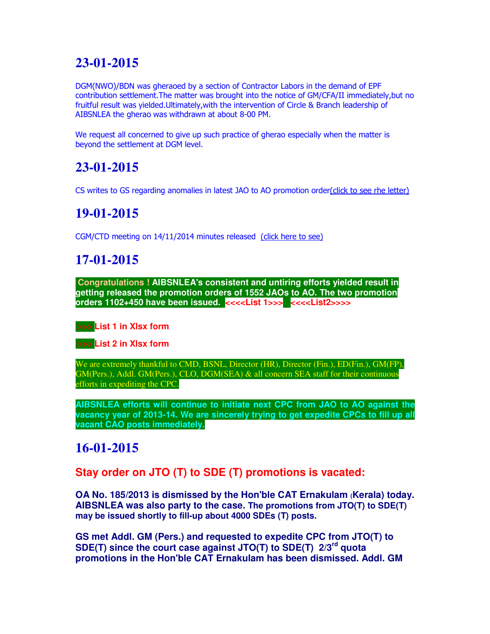### **23-01-2015**

DGM(NWO)/BDN was gheraoed by a section of Contractor Labors in the demand of EPF contribution settlement.The matter was brought into the notice of GM/CFA/II immediately,but no fruitful result was yielded.Ultimately,with the intervention of Circle & Branch leadership of AIBSNLEA the gherao was withdrawn at about 8-00 PM.

We request all concerned to give up such practice of gherao especially when the matter is beyond the settlement at DGM level.

### **23-01-2015**

CS writes to GS regarding anomalies in latest JAO to AO promotion order(click to see rhe letter)

### **19-01-2015**

CGM/CTD meeting on 14/11/2014 minutes released (click here to see)

### **17-01-2015**

**Congratulations ! AIBSNLEA's consistent and untiring efforts yielded result in getting released the promotion orders of 1552 JAOs to AO. The two promotion orders 1102+450 have been issued. <<<<List 1>>> <<<<List2>>>>**



 **>>> List 2 in Xlsx form**

We are extremely thankful to CMD, BSNL, Director (HR), Director (Fin.), ED(Fin.), GM(FP), GM(Pers.), Addl. GM(Pers.), CLO, DGM(SEA) & all concern SEA staff for their continuous efforts in expediting the CPC.

**AIBSNLEA efforts will continue to initiate next CPC from JAO to AO against the vacancy year of 2013-14. We are sincerely trying to get expedite CPCs to fill up all vacant CAO posts immediately.**

#### **16-01-2015**

**Stay order on JTO (T) to SDE (T) promotions is vacated:** 

**OA No. 185/2013 is dismissed by the Hon'ble CAT Ernakulam (Kerala) today. AIBSNLEA was also party to the case. The promotions from JTO(T) to SDE(T) may be issued shortly to fill-up about 4000 SDEs (T) posts.**

**GS met Addl. GM (Pers.) and requested to expedite CPC from JTO(T) to SDE(T) since the court case against JTO(T) to SDE(T) 2/3rd quota promotions in the Hon'ble CAT Ernakulam has been dismissed. Addl. GM**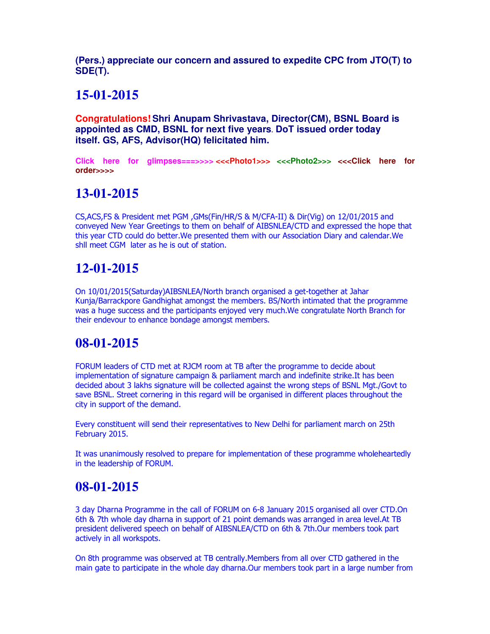**(Pers.) appreciate our concern and assured to expedite CPC from JTO(T) to SDE(T).**

#### **15-01-2015**

**Congratulations! Shri Anupam Shrivastava, Director(CM), BSNL Board is appointed as CMD, BSNL for next five years. DoT issued order today itself. GS, AFS, Advisor(HQ) felicitated him.**

**Click here for glimpses===>>>> <<<Photo1>>> <<<Photo2>>> <<<Click here for order>>>>**

### **13-01-2015**

CS,ACS,FS & President met PGM ,GMs(Fin/HR/S & M/CFA-II) & Dir(Vig) on 12/01/2015 and conveyed New Year Greetings to them on behalf of AIBSNLEA/CTD and expressed the hope that this year CTD could do better.We presented them with our Association Diary and calendar.We shll meet CGM later as he is out of station.

### **12-01-2015**

On 10/01/2015(Saturday)AIBSNLEA/North branch organised a get-together at Jahar Kunja/Barrackpore Gandhighat amongst the members. BS/North intimated that the programme was a huge success and the participants enjoyed very much.We congratulate North Branch for their endevour to enhance bondage amongst members.

#### **08-01-2015**

FORUM leaders of CTD met at RJCM room at TB after the programme to decide about implementation of signature campaign & parliament march and indefinite strike.It has been decided about 3 lakhs signature will be collected against the wrong steps of BSNL Mgt./Govt to save BSNL. Street cornering in this regard will be organised in different places throughout the city in support of the demand.

Every constituent will send their representatives to New Delhi for parliament march on 25th February 2015.

It was unanimously resolved to prepare for implementation of these programme wholeheartedly in the leadership of FORUM.

#### **08-01-2015**

3 day Dharna Programme in the call of FORUM on 6-8 January 2015 organised all over CTD.On 6th & 7th whole day dharna in support of 21 point demands was arranged in area level.At TB president delivered speech on behalf of AIBSNLEA/CTD on 6th & 7th.Our members took part actively in all workspots.

On 8th programme was observed at TB centrally.Members from all over CTD gathered in the main gate to participate in the whole day dharna.Our members took part in a large number from